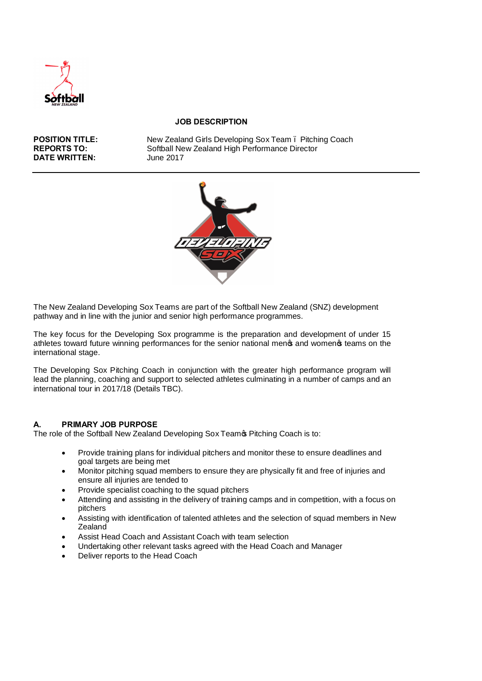

#### **JOB DESCRIPTION**

**DATE WRITTEN:** 

**POSITION TITLE:** New Zealand Girls Developing Sox Team . Pitching Coach<br> **REPORTS TO:** Softball New Zealand High Performance Director Softball New Zealand High Performance Director<br>June 2017



The New Zealand Developing Sox Teams are part of the Softball New Zealand (SNZ) development pathway and in line with the junior and senior high performance programmes.

The key focus for the Developing Sox programme is the preparation and development of under 15 athletes toward future winning performances for the senior national mengs and womengs teams on the international stage.

The Developing Sox Pitching Coach in conjunction with the greater high performance program will lead the planning, coaching and support to selected athletes culminating in a number of camps and an international tour in 2017/18 (Details TBC).

# **A. PRIMARY JOB PURPOSE**

The role of the Softball New Zealand Developing Sox Teamos Pitching Coach is to:

- · Provide training plans for individual pitchers and monitor these to ensure deadlines and goal targets are being met
- · Monitor pitching squad members to ensure they are physically fit and free of injuries and ensure all injuries are tended to
- Provide specialist coaching to the squad pitchers
- Attending and assisting in the delivery of training camps and in competition, with a focus on pitchers
- · Assisting with identification of talented athletes and the selection of squad members in New **Zealand**
- Assist Head Coach and Assistant Coach with team selection
- · Undertaking other relevant tasks agreed with the Head Coach and Manager
- Deliver reports to the Head Coach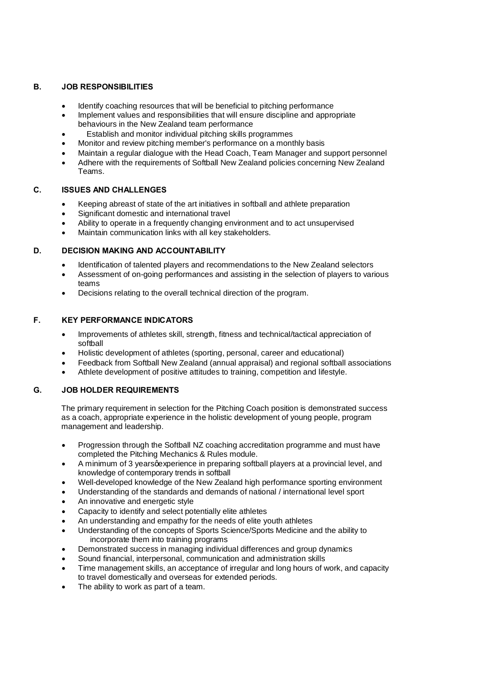#### **B. JOB RESPONSIBILITIES**

- Identify coaching resources that will be beneficial to pitching performance
- · Implement values and responsibilities that will ensure discipline and appropriate behaviours in the New Zealand team performance
- Establish and monitor individual pitching skills programmes
- Monitor and review pitching member's performance on a monthly basis
- Maintain a regular dialogue with the Head Coach, Team Manager and support personnel
- Adhere with the requirements of Softball New Zealand policies concerning New Zealand Teams.

# **C. ISSUES AND CHALLENGES**

- Keeping abreast of state of the art initiatives in softball and athlete preparation
- · Significant domestic and international travel
- Ability to operate in a frequently changing environment and to act unsupervised
- Maintain communication links with all key stakeholders.

# **D. DECISION MAKING AND ACCOUNTABILITY**

- · Identification of talented players and recommendations to the New Zealand selectors
- · Assessment of on-going performances and assisting in the selection of players to various teams
- Decisions relating to the overall technical direction of the program.

#### **F. KEY PERFORMANCE INDICATORS**

- · Improvements of athletes skill, strength, fitness and technical/tactical appreciation of softball
- · Holistic development of athletes (sporting, personal, career and educational)
- · Feedback from Softball New Zealand (annual appraisal) and regional softball associations
- · Athlete development of positive attitudes to training, competition and lifestyle.

# **G. JOB HOLDER REQUIREMENTS**

The primary requirement in selection for the Pitching Coach position is demonstrated success as a coach, appropriate experience in the holistic development of young people, program management and leadership.

- · Progression through the Softball NZ coaching accreditation programme and must have completed the Pitching Mechanics & Rules module.
- A minimum of 3 yearsgexperience in preparing softball players at a provincial level, and knowledge of contemporary trends in softball
- Well-developed knowledge of the New Zealand high performance sporting environment
- · Understanding of the standards and demands of national / international level sport
- An innovative and energetic style
- Capacity to identify and select potentially elite athletes
- An understanding and empathy for the needs of elite youth athletes
- · Understanding of the concepts of Sports Science/Sports Medicine and the ability to incorporate them into training programs
- Demonstrated success in managing individual differences and group dynamics
- · Sound financial, interpersonal, communication and administration skills
- · Time management skills, an acceptance of irregular and long hours of work, and capacity to travel domestically and overseas for extended periods.
- The ability to work as part of a team.